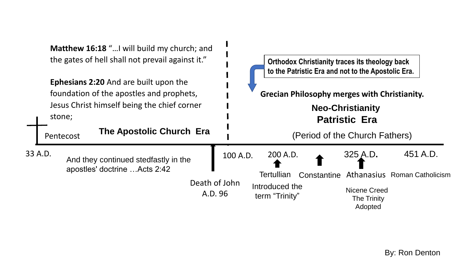| <b>Matthew 16:18</b> " I will build my church; and<br>the gates of hell shall not prevail against it."                                                                                     |  |                                                                       |  | <b>Orthodox Christianity traces its theology back</b><br>to the Patristic Era and not to the Apostolic Era.                              |                                                                   |             |                                                           |                                          |
|--------------------------------------------------------------------------------------------------------------------------------------------------------------------------------------------|--|-----------------------------------------------------------------------|--|------------------------------------------------------------------------------------------------------------------------------------------|-------------------------------------------------------------------|-------------|-----------------------------------------------------------|------------------------------------------|
| <b>Ephesians 2:20 And are built upon the</b><br>foundation of the apostles and prophets,<br>Jesus Christ himself being the chief corner<br>stone;<br>The Apostolic Church Era<br>Pentecost |  |                                                                       |  | <b>Grecian Philosophy merges with Christianity.</b><br><b>Neo-Christianity</b><br><b>Patristic Era</b><br>(Period of the Church Fathers) |                                                                   |             |                                                           |                                          |
| 33 A.D.                                                                                                                                                                                    |  | And they continued stedfastly in the<br>apostles' doctrine  Acts 2:42 |  | 100 A.D.<br>Death of John<br>A.D. 96                                                                                                     | 200 A.D.<br><b>Tertullian</b><br>Introduced the<br>term "Trinity" | Constantine | 325 A.D.<br>Nicene Creed<br><b>The Trinity</b><br>Adopted | 451 A.D.<br>Athanasius Roman Catholicism |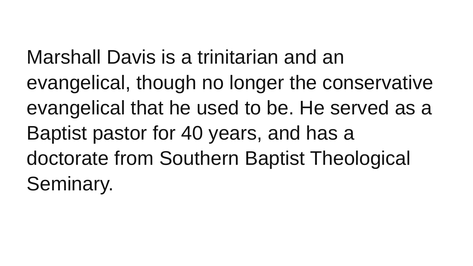Marshall Davis is a trinitarian and an evangelical, though no longer the conservative evangelical that he used to be. He served as a Baptist pastor for 40 years, and has a doctorate from Southern Baptist Theological Seminary.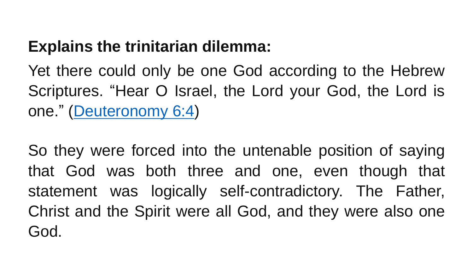#### **Explains the trinitarian dilemma:**

Yet there could only be one God according to the Hebrew Scriptures. "Hear O Israel, the Lord your God, the Lord is one." [\(Deuteronomy](https://biblia.com/bible/esv/Deut 6.4) 6:4)

So they were forced into the untenable position of saying that God was both three and one, even though that statement was logically self-contradictory. The Father, Christ and the Spirit were all God, and they were also one God.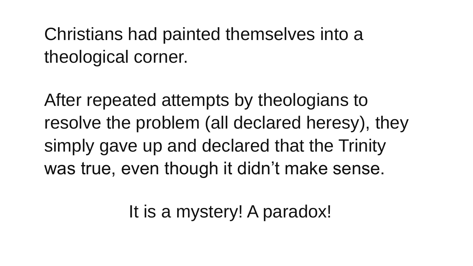### Christians had painted themselves into a theological corner.

After repeated attempts by theologians to resolve the problem (all declared heresy), they simply gave up and declared that the Trinity was true, even though it didn't make sense.

It is a mystery! A paradox!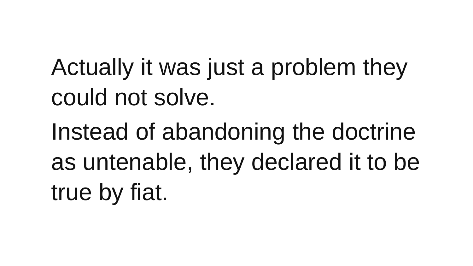Actually it was just a problem they could not solve.

Instead of abandoning the doctrine as untenable, they declared it to be true by fiat.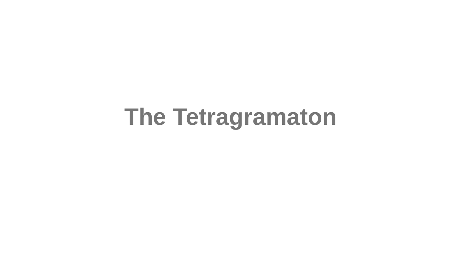## **The Tetragramaton**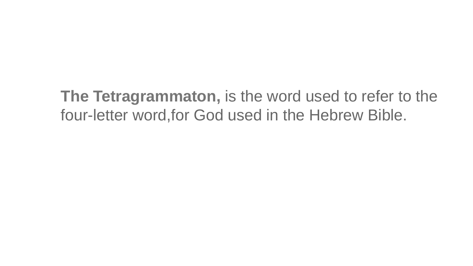**The Tetragrammaton,** is the word used to refer to the four-letter word,for God used in the Hebrew Bible.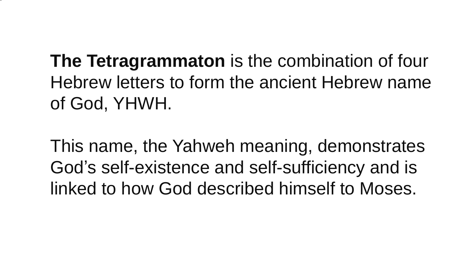**The Tetragrammaton** is the combination of four Hebrew letters to form the ancient Hebrew name of God, YHWH.

•

This name, the Yahweh meaning, demonstrates God's self-existence and self-sufficiency and is linked to how God described himself to Moses.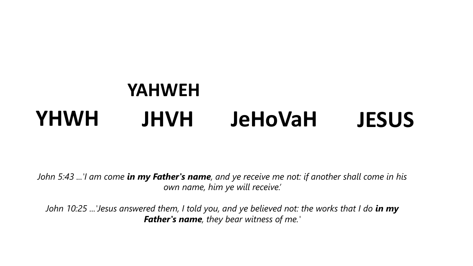#### **YHWH JHVH JeHoVaH JESUS YAHWEH**

*John 5:43 ...'I am come in my Father's name, and ye receive me not: if another shall come in his own name, him ye will receive.'*

*John 10:25 ...'Jesus answered them, I told you, and ye believed not: the works that I do in my Father's name, they bear witness of me.'*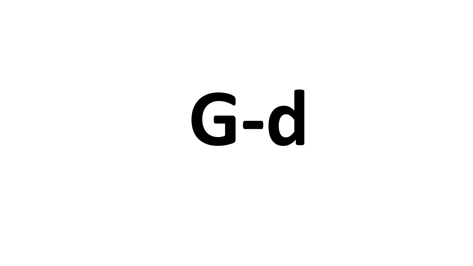#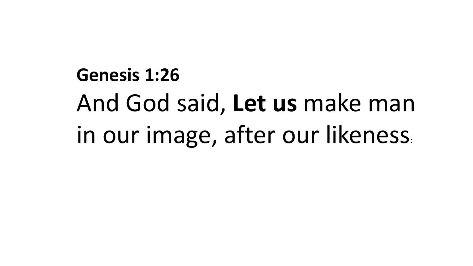**Genesis 1:26**  And God said, **Let us** make man in our image, after our likeness: